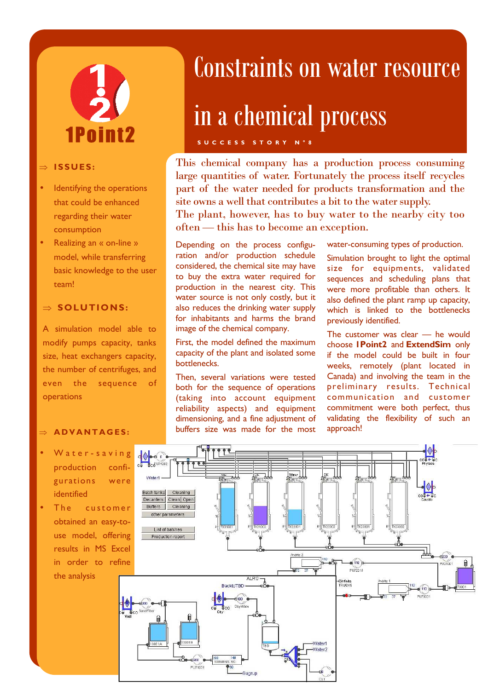# 1Point2

#### ⇒ **I SS UES :**

- Identifying the operations that could be enhanced regarding their water consumption
- Realizing an « on-line » model, while transferring basic knowledge to the user team!

#### ⇒ **SOLUTIONS:**

A simulation model able to modify pumps capacity, tanks size, heat exchangers capacity, the number of centrifuges, and even the sequence of operations

#### ⇒ **A D V A N T A G E S :**

- Water-saving production configurations were identified
- The customer obtained an easy-touse model, offering results in MS Excel in order to refine the analysis

### Constraints on water resource

## in a chemical process

**S U C C E S S S T O R Y N ° 8** 

This chemical company has a production process consuming large quantities of water. Fortunately the process itself recycles part of the water needed for products transformation and the site owns a well that contributes a bit to the water supply. The plant, however, has to buy water to the nearby city too

often — this has to become an exception.

Depending on the process configuration and/or production schedule considered, the chemical site may have to buy the extra water required for production in the nearest city. This water source is not only costly, but it also reduces the drinking water supply for inhabitants and harms the brand image of the chemical company.

First, the model defined the maximum capacity of the plant and isolated some bottlenecks.

Then, several variations were tested both for the sequence of operations (taking into account equipment reliability aspects) and equipment dimensioning, and a fine adjustment of buffers size was made for the most water-consuming types of production.

Simulation brought to light the optimal size for equipments, validated sequences and scheduling plans that were more profitable than others. It also defined the plant ramp up capacity, which is linked to the bottlenecks previously identified.

The customer was clear — he would choose **1Point2** and **ExtendSim** only if the model could be built in four weeks, remotely (plant located in Canada) and involving the team in the preliminary results. Technical communication and customer commitment were both perfect, thus validating the flexibility of such an approach!